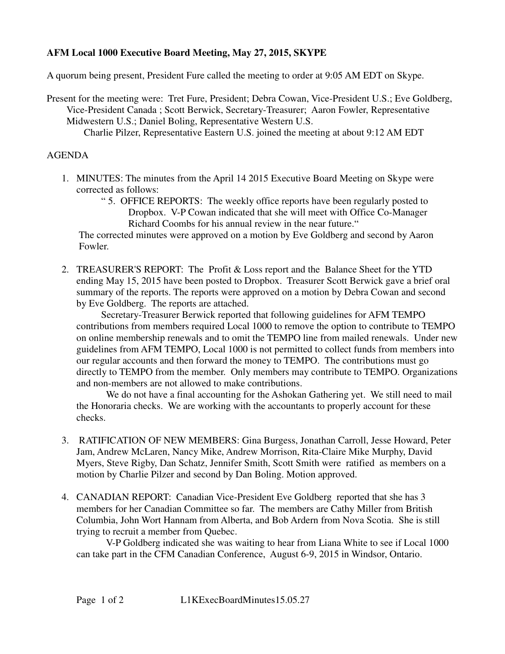## **AFM Local 1000 Executive Board Meeting, May 27, 2015, SKYPE**

A quorum being present, President Fure called the meeting to order at 9:05 AM EDT on Skype.

Present for the meeting were: Tret Fure, President; Debra Cowan, Vice-President U.S.; Eve Goldberg, Vice-President Canada ; Scott Berwick, Secretary-Treasurer; Aaron Fowler, Representative Midwestern U.S.; Daniel Boling, Representative Western U.S.

Charlie Pilzer, Representative Eastern U.S. joined the meeting at about 9:12 AM EDT

## AGENDA

- 1. MINUTES: The minutes from the April 14 2015 Executive Board Meeting on Skype were corrected as follows:
	- " 5. OFFICE REPORTS: The weekly office reports have been regularly posted to Dropbox. V-P Cowan indicated that she will meet with Office Co-Manager Richard Coombs for his annual review in the near future."

 The corrected minutes were approved on a motion by Eve Goldberg and second by Aaron Fowler.

2. TREASURER'S REPORT: The Profit & Loss report and the Balance Sheet for the YTD ending May 15, 2015 have been posted to Dropbox. Treasurer Scott Berwick gave a brief oral summary of the reports. The reports were approved on a motion by Debra Cowan and second by Eve Goldberg. The reports are attached.

 Secretary-Treasurer Berwick reported that following guidelines for AFM TEMPO contributions from members required Local 1000 to remove the option to contribute to TEMPO on online membership renewals and to omit the TEMPO line from mailed renewals. Under new guidelines from AFM TEMPO, Local 1000 is not permitted to collect funds from members into our regular accounts and then forward the money to TEMPO. The contributions must go directly to TEMPO from the member. Only members may contribute to TEMPO. Organizations and non-members are not allowed to make contributions.

 We do not have a final accounting for the Ashokan Gathering yet. We still need to mail the Honoraria checks. We are working with the accountants to properly account for these checks.

- 3. RATIFICATION OF NEW MEMBERS: Gina Burgess, Jonathan Carroll, Jesse Howard, Peter Jam, Andrew McLaren, Nancy Mike, Andrew Morrison, Rita-Claire Mike Murphy, David Myers, Steve Rigby, Dan Schatz, Jennifer Smith, Scott Smith were ratified as members on a motion by Charlie Pilzer and second by Dan Boling. Motion approved.
- 4. CANADIAN REPORT: Canadian Vice-President Eve Goldberg reported that she has 3 members for her Canadian Committee so far. The members are Cathy Miller from British Columbia, John Wort Hannam from Alberta, and Bob Ardern from Nova Scotia. She is still trying to recruit a member from Quebec.

 V-P Goldberg indicated she was waiting to hear from Liana White to see if Local 1000 can take part in the CFM Canadian Conference, August 6-9, 2015 in Windsor, Ontario.